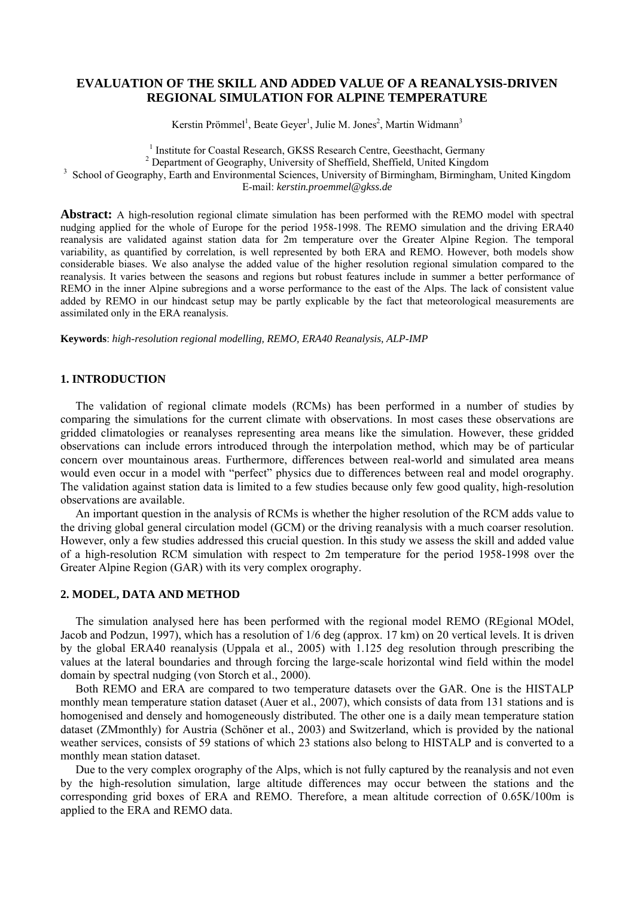# **EVALUATION OF THE SKILL AND ADDED VALUE OF A REANALYSIS-DRIVEN REGIONAL SIMULATION FOR ALPINE TEMPERATURE**

Kerstin Prömmel<sup>1</sup>, Beate Geyer<sup>1</sup>, Julie M. Jones<sup>2</sup>, Martin Widmann<sup>3</sup>

<sup>1</sup> Institute for Coastal Research, GKSS Research Centre, Geesthacht, Germany<br><sup>2</sup> Department of Geography, University of Sheffield, Sheffield, United Kingdom

<sup>2</sup> Department of Geography, University of Sheffield, Sheffield, United Kingdom

<sup>3</sup> School of Geography, Earth and Environmental Sciences, University of Birmingham, Birmingham, United Kingdom

E-mail: *kerstin.proemmel@gkss.de*

**Abstract:** A high-resolution regional climate simulation has been performed with the REMO model with spectral nudging applied for the whole of Europe for the period 1958-1998. The REMO simulation and the driving ERA40 reanalysis are validated against station data for 2m temperature over the Greater Alpine Region. The temporal variability, as quantified by correlation, is well represented by both ERA and REMO. However, both models show considerable biases. We also analyse the added value of the higher resolution regional simulation compared to the reanalysis. It varies between the seasons and regions but robust features include in summer a better performance of REMO in the inner Alpine subregions and a worse performance to the east of the Alps. The lack of consistent value added by REMO in our hindcast setup may be partly explicable by the fact that meteorological measurements are assimilated only in the ERA reanalysis.

**Keywords**: *high-resolution regional modelling, REMO, ERA40 Reanalysis, ALP-IMP* 

## **1. INTRODUCTION**

The validation of regional climate models (RCMs) has been performed in a number of studies by comparing the simulations for the current climate with observations. In most cases these observations are gridded climatologies or reanalyses representing area means like the simulation. However, these gridded observations can include errors introduced through the interpolation method, which may be of particular concern over mountainous areas. Furthermore, differences between real-world and simulated area means would even occur in a model with "perfect" physics due to differences between real and model orography. The validation against station data is limited to a few studies because only few good quality, high-resolution observations are available.

An important question in the analysis of RCMs is whether the higher resolution of the RCM adds value to the driving global general circulation model (GCM) or the driving reanalysis with a much coarser resolution. However, only a few studies addressed this crucial question. In this study we assess the skill and added value of a high-resolution RCM simulation with respect to 2m temperature for the period 1958-1998 over the Greater Alpine Region (GAR) with its very complex orography.

# **2. MODEL, DATA AND METHOD**

The simulation analysed here has been performed with the regional model REMO (REgional MOdel, Jacob and Podzun, 1997), which has a resolution of 1/6 deg (approx. 17 km) on 20 vertical levels. It is driven by the global ERA40 reanalysis (Uppala et al., 2005) with 1.125 deg resolution through prescribing the values at the lateral boundaries and through forcing the large-scale horizontal wind field within the model domain by spectral nudging (von Storch et al., 2000).

Both REMO and ERA are compared to two temperature datasets over the GAR. One is the HISTALP monthly mean temperature station dataset (Auer et al., 2007), which consists of data from 131 stations and is homogenised and densely and homogeneously distributed. The other one is a daily mean temperature station dataset (ZMmonthly) for Austria (Schöner et al., 2003) and Switzerland, which is provided by the national weather services, consists of 59 stations of which 23 stations also belong to HISTALP and is converted to a monthly mean station dataset.

Due to the very complex orography of the Alps, which is not fully captured by the reanalysis and not even by the high-resolution simulation, large altitude differences may occur between the stations and the corresponding grid boxes of ERA and REMO. Therefore, a mean altitude correction of 0.65K/100m is applied to the ERA and REMO data.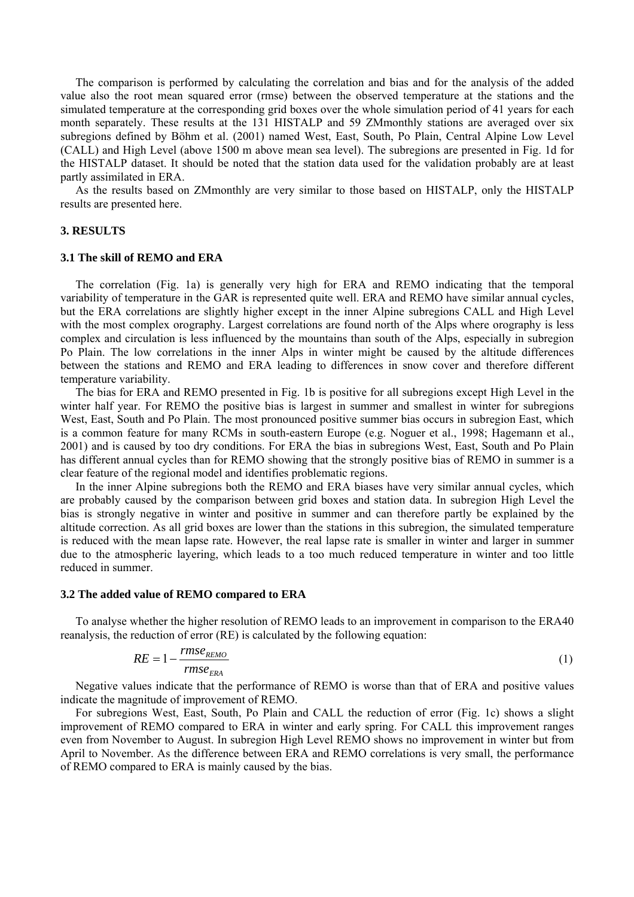The comparison is performed by calculating the correlation and bias and for the analysis of the added value also the root mean squared error (rmse) between the observed temperature at the stations and the simulated temperature at the corresponding grid boxes over the whole simulation period of 41 years for each month separately. These results at the 131 HISTALP and 59 ZMmonthly stations are averaged over six subregions defined by Böhm et al. (2001) named West, East, South, Po Plain, Central Alpine Low Level (CALL) and High Level (above 1500 m above mean sea level). The subregions are presented in Fig. 1d for the HISTALP dataset. It should be noted that the station data used for the validation probably are at least partly assimilated in ERA.

As the results based on ZMmonthly are very similar to those based on HISTALP, only the HISTALP results are presented here.

### **3. RESULTS**

#### **3.1 The skill of REMO and ERA**

The correlation (Fig. 1a) is generally very high for ERA and REMO indicating that the temporal variability of temperature in the GAR is represented quite well. ERA and REMO have similar annual cycles, but the ERA correlations are slightly higher except in the inner Alpine subregions CALL and High Level with the most complex orography. Largest correlations are found north of the Alps where orography is less complex and circulation is less influenced by the mountains than south of the Alps, especially in subregion Po Plain. The low correlations in the inner Alps in winter might be caused by the altitude differences between the stations and REMO and ERA leading to differences in snow cover and therefore different temperature variability.

The bias for ERA and REMO presented in Fig. 1b is positive for all subregions except High Level in the winter half year. For REMO the positive bias is largest in summer and smallest in winter for subregions West, East, South and Po Plain. The most pronounced positive summer bias occurs in subregion East, which is a common feature for many RCMs in south-eastern Europe (e.g. Noguer et al., 1998; Hagemann et al., 2001) and is caused by too dry conditions. For ERA the bias in subregions West, East, South and Po Plain has different annual cycles than for REMO showing that the strongly positive bias of REMO in summer is a clear feature of the regional model and identifies problematic regions.

In the inner Alpine subregions both the REMO and ERA biases have very similar annual cycles, which are probably caused by the comparison between grid boxes and station data. In subregion High Level the bias is strongly negative in winter and positive in summer and can therefore partly be explained by the altitude correction. As all grid boxes are lower than the stations in this subregion, the simulated temperature is reduced with the mean lapse rate. However, the real lapse rate is smaller in winter and larger in summer due to the atmospheric layering, which leads to a too much reduced temperature in winter and too little reduced in summer.

#### **3.2 The added value of REMO compared to ERA**

To analyse whether the higher resolution of REMO leads to an improvement in comparison to the ERA40 reanalysis, the reduction of error (RE) is calculated by the following equation:

$$
RE = 1 - \frac{rmse_{\text{REMO}}}{rmse_{\text{ERA}}} \tag{1}
$$

Negative values indicate that the performance of REMO is worse than that of ERA and positive values indicate the magnitude of improvement of REMO.

For subregions West, East, South, Po Plain and CALL the reduction of error (Fig. 1c) shows a slight improvement of REMO compared to ERA in winter and early spring. For CALL this improvement ranges even from November to August. In subregion High Level REMO shows no improvement in winter but from April to November. As the difference between ERA and REMO correlations is very small, the performance of REMO compared to ERA is mainly caused by the bias.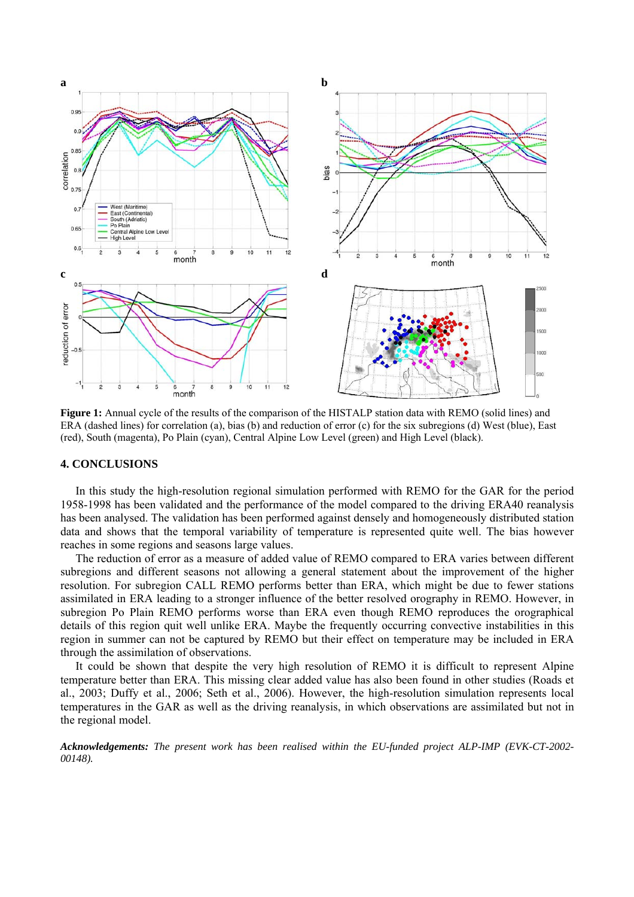

**Figure 1:** Annual cycle of the results of the comparison of the HISTALP station data with REMO (solid lines) and ERA (dashed lines) for correlation (a), bias (b) and reduction of error (c) for the six subregions (d) West (blue), East (red), South (magenta), Po Plain (cyan), Central Alpine Low Level (green) and High Level (black).

### **4. CONCLUSIONS**

In this study the high-resolution regional simulation performed with REMO for the GAR for the period 1958-1998 has been validated and the performance of the model compared to the driving ERA40 reanalysis has been analysed. The validation has been performed against densely and homogeneously distributed station data and shows that the temporal variability of temperature is represented quite well. The bias however reaches in some regions and seasons large values.

The reduction of error as a measure of added value of REMO compared to ERA varies between different subregions and different seasons not allowing a general statement about the improvement of the higher resolution. For subregion CALL REMO performs better than ERA, which might be due to fewer stations assimilated in ERA leading to a stronger influence of the better resolved orography in REMO. However, in subregion Po Plain REMO performs worse than ERA even though REMO reproduces the orographical details of this region quit well unlike ERA. Maybe the frequently occurring convective instabilities in this region in summer can not be captured by REMO but their effect on temperature may be included in ERA through the assimilation of observations.

It could be shown that despite the very high resolution of REMO it is difficult to represent Alpine temperature better than ERA. This missing clear added value has also been found in other studies (Roads et al., 2003; Duffy et al., 2006; Seth et al., 2006). However, the high-resolution simulation represents local temperatures in the GAR as well as the driving reanalysis, in which observations are assimilated but not in the regional model.

*Acknowledgements: The present work has been realised within the EU-funded project ALP-IMP (EVK-CT-2002- 00148).*